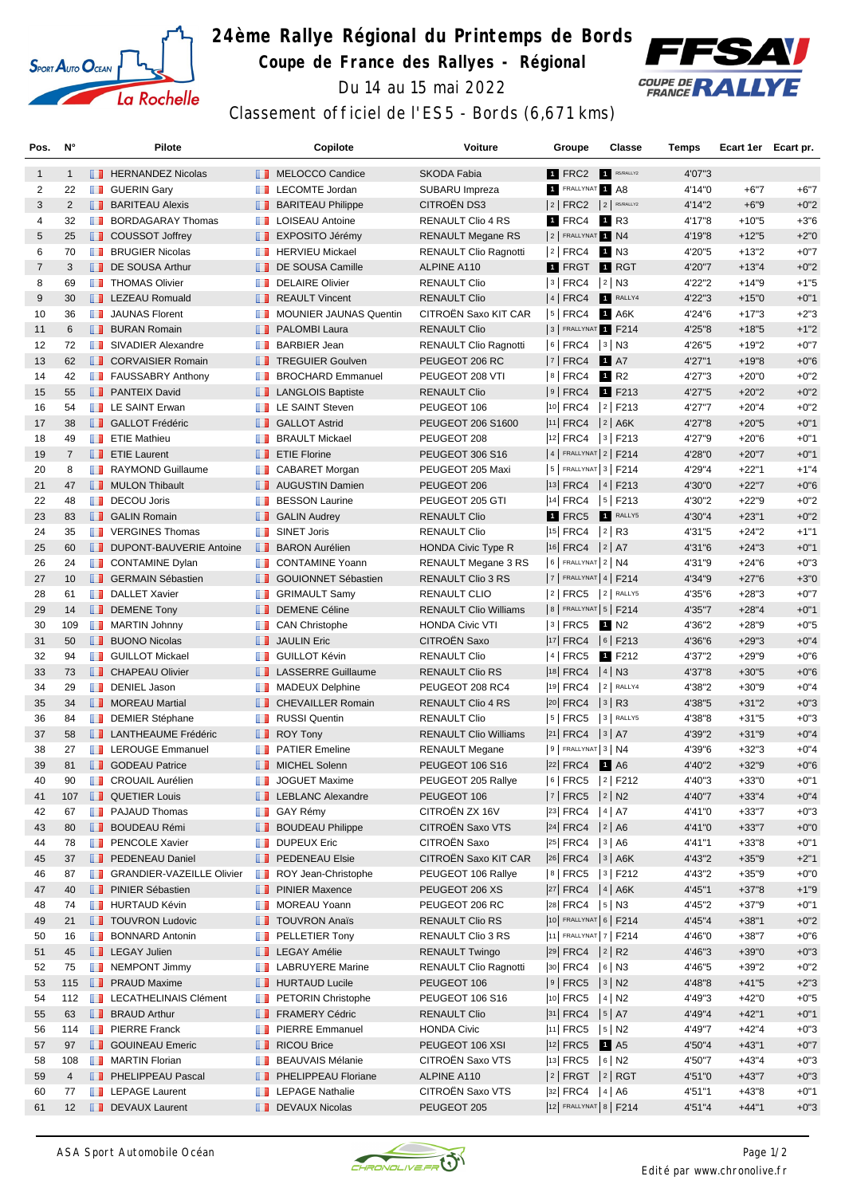

## **24ème Rallye Régional du Printemps de Bords Coupe de France des Rallyes - Régional**



Du 14 au 15 mai 2022

## Classement officiel de l'ES5 - Bords (6,671 kms)

| Pos.           | N°                |   | Pilote                            |                                                                                                                       | Copilote                                       | <b>Voiture</b>               | Groupe                                                                       | <b>Classe</b>        | <b>Temps</b> | Ecart 1er Ecart pr. |        |
|----------------|-------------------|---|-----------------------------------|-----------------------------------------------------------------------------------------------------------------------|------------------------------------------------|------------------------------|------------------------------------------------------------------------------|----------------------|--------------|---------------------|--------|
| $\mathbf{1}$   | $\mathbf{1}$      |   | <b>EXP</b> HERNANDEZ Nicolas      |                                                                                                                       | MELOCCO Candice                                | <b>SKODA Fabia</b>           | 1 FRC2                                                                       | R5/RALLY2            | 4'07"3       |                     |        |
| 2              | 22                |   | <b>B</b> GUERIN Gary              | <b>TELEVISION</b>                                                                                                     | <b>LECOMTE Jordan</b>                          | SUBARU Impreza               | 1 FRALLYNAT 1 A8                                                             |                      | 4'14"0       | $+6"7$              | $+6"7$ |
| 3              | $\overline{2}$    |   | <b>BARITEAU Alexis</b>            |                                                                                                                       | <b>BARITEAU Philippe</b>                       | CITROËN DS3                  | $ 2 $ FRC2 $ 2 $ R5/RALLY2                                                   |                      | 4'14"2       | $+6"9$              | $+0"2$ |
| 4              | 32                |   | <b>BORDAGARAY Thomas</b>          |                                                                                                                       | <b>LE</b> LOISEAU Antoine                      | RENAULT Clio 4 RS            | 1 FRC4                                                                       | 1 R3                 | 4'17"8       | $+10"5$             | $+3"6$ |
| 5              | 25                |   | <b>COUSSOT Joffrey</b>            | <b>H.H.</b>                                                                                                           | EXPOSITO Jérémy                                | <b>RENAULT Megane RS</b>     | 2 FRALLYNAT 1 N4                                                             |                      | 4'19"8       | $+12"5$             | $+2"0$ |
| 6              | 70                |   | <b>BRUGIER Nicolas</b>            |                                                                                                                       | <b>F</b> HERVIEU Mickael                       | <b>RENAULT Clio Ragnotti</b> | $ 2 $ FRC4                                                                   | 1 N3                 | 4'20"5       | $+13"2$             | $+0"7$ |
| $\overline{7}$ | 3                 |   | DE SOUSA Arthur                   | u.                                                                                                                    | DE SOUSA Camille                               | ALPINE A110                  | <b>1</b> FRGT                                                                | <b>1</b> RGT         | 4'20"7       | $+13"4$             | $+0"2$ |
| 8              | 69                |   | <b>THOMAS Olivier</b>             | ш                                                                                                                     | <b>DELAIRE Olivier</b>                         | <b>RENAULT Clio</b>          | $3$ FRC4                                                                     | $ 2 $ N3             | 4'22"2       | $+14"9$             | $+1"5$ |
| 9              | 30                |   | <b>EXECUED</b> LEZEAU Romuald     |                                                                                                                       | <b>REAULT Vincent</b>                          | <b>RENAULT Clio</b>          | 4   FRC4                                                                     | RALLY4               | 4'22"3       | $+15"0$             | $+0"1$ |
| 10             | 36                |   | <b>JAUNAS Florent</b>             | <b>The Co</b>                                                                                                         | <b>MOUNIER JAUNAS Quentin</b>                  | CITROËN Saxo KIT CAR         | $ 5 $ FRC4                                                                   | 1 A6K                | 4'24"6       | $+17"3$             | $+2"3$ |
| 11             | 6                 |   | <b>BURAN Romain</b>               | <b>IL 11</b>                                                                                                          | <b>PALOMBI Laura</b>                           | <b>RENAULT Clio</b>          | 3 FRALLYNAT F214                                                             |                      | 4'25"8       | $+18"5$             | $+1"2$ |
| 12             | 72                |   | SIVADIER Alexandre                | a a                                                                                                                   | <b>BARBIER Jean</b>                            | <b>RENAULT Clio Ragnotti</b> | $ 6 $ FRC4 $ 3 $ N3                                                          |                      | 4'26"5       | $+19"2$             | $+0"7$ |
| 13             | 62                |   | <b>CORVAISIER Romain</b>          |                                                                                                                       | <b>TREGUIER Goulven</b>                        | PEUGEOT 206 RC               | $ 7 $ FRC4                                                                   | <b>1</b> A7          | 4'27"1       | $+19"8$             | $+0"6$ |
| 14             | 42                |   | FAUSSABRY Anthony                 | ш                                                                                                                     | <b>BROCHARD Emmanuel</b>                       | PEUGEOT 208 VTI              | $8$ FRC4                                                                     | 1 R <sub>2</sub>     | 4'27"3       | $+20"0$             | $+0"2$ |
| 15             | 55                |   | <b>FRANTEIX David</b>             |                                                                                                                       | <b>LANGLOIS Baptiste</b>                       | <b>RENAULT Clio</b>          | $ 9 $ FRC4                                                                   | 1 F213               | 4'27"5       | $+20"2$             | $+0"2$ |
| 16             | 54                |   | <b>EXAINT Erwan</b>               | a a                                                                                                                   | LE SAINT Steven                                | PEUGEOT 106                  | $ 10 $ FRC4 $ 2 $ F213                                                       |                      | 4'27"7       | $+20"4$             | $+0"2$ |
| 17             | 38                |   | <b>B</b> GALLOT Frédéric          |                                                                                                                       | <b>B</b> GALLOT Astrid                         | PEUGEOT 206 S1600            | $ 11 $ FRC4 $ 2 $ A6K                                                        |                      | 4'27"8       | $+20"5$             | $+0"1$ |
| 18             | 49                |   | <b>FILE</b> Mathieu               | a a                                                                                                                   | <b>BRAULT Mickael</b>                          | PEUGEOT 208                  | $ 12 $ FRC4 $ 3 $ F213                                                       |                      | 4'27"9       | $+20"6$             | $+0"1$ |
| 19             | $\overline{7}$    |   | <b>ETIE Laurent</b>               | <b>H.H.</b>                                                                                                           | <b>ETIE Florine</b>                            | <b>PEUGEOT 306 S16</b>       | $ 4 $ FRALLYNAT $ 2 $ F214                                                   |                      | 4'28"0       | $+20"7$             | $+0"1$ |
| 20             | 8                 |   | RAYMOND Guillaume                 | ш                                                                                                                     | <b>CABARET Morgan</b>                          | PEUGEOT 205 Maxi             | $ 5 $ FRALLYNAT $ 3 $ F214                                                   |                      | 4'29"4       | $+22"1$             | $+1"4$ |
| 21             | 47                |   | <b>NULON Thibault</b>             |                                                                                                                       | <b>4</b> AUGUSTIN Damien                       | PEUGEOT 206                  | $ 13 $ FRC4 $ 4 $ F213                                                       |                      | 4'30"0       | $+22"7$             | $+0"6$ |
|                |                   |   | <b>DECOU Joris</b>                |                                                                                                                       |                                                |                              | 14 FRC4                                                                      |                      |              |                     | $+0"2$ |
| 22             | 48                |   |                                   | <b>The Contract of the Contract of the Contract of the Contract of the Contract of the Contract of the Contract o</b> | <b>BESSON Laurine</b><br><b>B</b> GALIN Audrey | PEUGEOT 205 GTI              |                                                                              | $ 5 $ F213<br>RALLY5 | 4'30"2       | $+22"9$             | $+0"2$ |
| 23             | 83                |   | <b>B</b> GALIN Romain             |                                                                                                                       |                                                | <b>RENAULT Clio</b>          | 1 FRC5                                                                       |                      | 4'30"4       | $+23"1$             |        |
| 24             | 35                |   | <b>T</b> VERGINES Thomas          | m                                                                                                                     | <b>SINET Joris</b>                             | <b>RENAULT Clio</b>          | $ 15 $ FRC4 $ 2 $ R3                                                         |                      | 4'31"5       | $+24"2$             | $+1"1$ |
| 25             | 60                |   | <b>DUPONT-BAUVERIE Antoine</b>    | п.                                                                                                                    | <b>BARON Aurélien</b>                          | <b>HONDA Civic Type R</b>    | $ 16 $ FRC4 $ 2 $ A7                                                         |                      | 4'31"6       | $+24"3$             | $+0"1$ |
| 26             | 24                |   | <b>CONTAMINE Dylan</b>            |                                                                                                                       | <b>CONTAMINE Yoann</b>                         | <b>RENAULT Megane 3 RS</b>   | $6$ FRALLYNAT $2$ N4                                                         |                      | 4'31"9       | $+24"6$             | $+0"3$ |
| 27             | 10                |   | <b>B</b> GERMAIN Sébastien        |                                                                                                                       | <b>B</b> GOUIONNET Sébastien                   | RENAULT Clio 3 RS            | $ 7 $ FRALLYNAT 4   F214                                                     |                      | 4'34"9       | $+27"6$             | $+3"0$ |
| 28             | 61                |   | <b>DALLET Xavier</b>              |                                                                                                                       | <b>B</b> GRIMAULT Samy                         | <b>RENAULT CLIO</b>          | $ 2 $ FRC5 $ 2 $ RALLY5                                                      |                      | 4'35"6       | $+28"3$             | $+0"7$ |
| 29             | 14                |   | <b>DEMENE Tony</b>                |                                                                                                                       | <b>DEMENE Céline</b>                           | <b>RENAULT Clio Williams</b> | $ 8 $ FRALLYNAT $ 5 $ F214                                                   |                      | 4'35"7       | $+28"4$             | $+0"1$ |
| 30             | 109               |   | <b>B</b> MARTIN Johnny            | ш                                                                                                                     | <b>CAN Christophe</b>                          | <b>HONDA Civic VTI</b>       | 3   FRC5                                                                     | 1 N2                 | 4'36"2       | $+28"9$             | $+0"5$ |
| 31             | 50                |   | <b>BUONO Nicolas</b>              |                                                                                                                       | <b>JAULIN Eric</b>                             | CITROËN Saxo                 | $ 17 $ FRC4 $ 6 $ F213                                                       |                      | 4'36"6       | $+29"3$             | $+0"4$ |
| 32             | 94                |   | <b>B</b> GUILLOT Mickael          |                                                                                                                       | <b>B</b> GUILLOT Kévin                         | <b>RENAULT Clio</b>          | 4   FRC5                                                                     | 1 F212               | 4'37"2       | $+29"9$             | $+0"6$ |
| 33             | 73                |   | <b>T</b> CHAPEAU Olivier          |                                                                                                                       | <b>T</b> LASSERRE Guillaume                    | RENAULT Clio RS              | 18 FRC4 4 N3                                                                 |                      | 4'37"8       | $+30"5$             | $+0"6$ |
| 34             | 29                | ш | DENIEL Jason                      |                                                                                                                       | <b>NADEUX Delphine</b>                         | PEUGEOT 208 RC4              | $ 19 $ FRC4                                                                  | 2 RALLY4             | 4'38"2       | $+30"9$             | $+0"4$ |
| 35             | 34                |   | <b>NOREAU Martial</b>             |                                                                                                                       | <b>CHEVAILLER Romain</b>                       | RENAULT Clio 4 RS            | $ 20 $ FRC4                                                                  | $ 3 $ R3             | 4'38"5       | $+31"2$             | $+0"3$ |
| 36             | 84                |   | <b>DEMIER Stéphane</b>            | ш                                                                                                                     | <b>RUSSI</b> Quentin                           | <b>RENAULT Clio</b>          | $5$ FRC5                                                                     | 3 RALLY5             | 4'38"8       | $+31"5$             | $+0"3$ |
| 37             | 58                |   | <b>TELANTHEAUME Frédéric</b>      | <b>H.H.</b>                                                                                                           | <b>ROY Tony</b>                                | <b>RENAULT Clio Williams</b> | $ 21 $ FRC4 $ 3 $ A7                                                         |                      | 4'39"2       | $+31"9$             | $+0"4$ |
| 38             | 27                |   | <b>Example 2</b> LEROUGE Emmanuel | <b>THE R</b>                                                                                                          | <b>PATIER Emeline</b>                          | <b>RENAULT Megane</b>        | $9$ Frallynat $3$ N4                                                         |                      | 4'39"6       | $+32"3$             | $+0"4$ |
| 39             | 81                |   | <b>SODEAU Patrice</b>             |                                                                                                                       | <b>NICHEL Solenn</b>                           | <b>PEUGEOT 106 S16</b>       | $ 22 $ FRC4 1 A6                                                             |                      | 4'40"2       | $+32"9$             | $+0"6$ |
| 40             | 90                | ш | <b>CROUAIL Aurélien</b>           |                                                                                                                       | <b>JOGUET Maxime</b>                           | PEUGEOT 205 Rallye           | 6  FRC5  2  F212                                                             |                      | 4'40"3       | +33"0               | $+0"1$ |
| 41             | 107               |   | <b>QUETIER Louis</b>              |                                                                                                                       | <b>EXECUTE LEBLANC Alexandre</b>               | PEUGEOT 106                  | $ 7 $ FRC5 $ 2 $ N2                                                          |                      | 4'40"7       | $+33"4$             | $+0"4$ |
| 42             | 67                |   | <b>PAJAUD Thomas</b>              |                                                                                                                       | <b>B</b> GAY Rémy                              | CITROËN ZX 16V               | $ 23 $ FRC4                                                                  | 4 A7                 | 4'41"0       | $+33"7$             | $+0"3$ |
| 43             | 80                |   | <b>BOUDEAU Rémi</b>               |                                                                                                                       | <b>BOUDEAU Philippe</b>                        | CITROËN Saxo VTS             | 24 FRC4 2 A6                                                                 |                      | 4'41"0       | $+33"7$             | $+0"0$ |
| 44             | 78                |   | <b>PENCOLE Xavier</b>             |                                                                                                                       | <b>DUPEUX Eric</b>                             | CITROËN Saxo                 | $\begin{vmatrix} 25 \end{vmatrix}$ FRC4 $\begin{vmatrix} 3 \end{vmatrix}$ A6 |                      | 4'41"1       | $+33"8$             | $+0"1$ |
| 45             | 37                |   | <b>PEDENEAU Daniel</b>            |                                                                                                                       | <b>FEDENEAU Elsie</b>                          | CITROËN Saxo KIT CAR         | $ 26 $ FRC4 $ 3 $ A6K                                                        |                      | 4'43"2       | $+35"9$             | $+2"1$ |
| 46             | 87                |   | <b>SRANDIER-VAZEILLE Olivier</b>  |                                                                                                                       | ROY Jean-Christophe                            | PEUGEOT 106 Rallye           | $ 8 $ FRC5                                                                   | $ 3 $ F212           | 4'43"2       | $+35"9$             | $+0"0$ |
| 47             | 40                |   | <b>F</b> PINIER Sébastien         |                                                                                                                       | <b>PINIER Maxence</b>                          | PEUGEOT 206 XS               | $ 27 $ FRC4 $ 4 $ A6K                                                        |                      | 4'45"1       | $+37"8$             | $+1"9$ |
| 48             | 74                |   | <b>HURTAUD Kévin</b>              | <b>The Co</b>                                                                                                         | MOREAU Yoann                                   | PEUGEOT 206 RC               | 28 FRC4   5   N3                                                             |                      | 4'45"2       | $+37"9$             | $+0"1$ |
| 49             | 21                |   | <b>TOUVRON Ludovic</b>            |                                                                                                                       | <b>TOUVRON Anaïs</b>                           | <b>RENAULT Clio RS</b>       | 10 FRALLYNAT 6   F214                                                        |                      | 4'45"4       | $+38"1$             | $+0"2$ |
| 50             | 16                |   | <b>BONNARD Antonin</b>            |                                                                                                                       | <b>FELLETIER Tony</b>                          | RENAULT Clio 3 RS            | 11 FRALLYNAT 7   F214                                                        |                      | 4'46"0       | $+38"7$             | $+0"6$ |
| 51             | 45                |   | <b>LEGAY Julien</b>               |                                                                                                                       | <b>LEGAY Amélie</b>                            | <b>RENAULT Twingo</b>        | $ 29 $ FRC4 $ 2 $ R2                                                         |                      | 4'46"3       | $+39"0$             | $+0"3$ |
| 52             | 75                |   | <b>NEMPONT Jimmy</b>              |                                                                                                                       | <b>T</b> LABRUYERE Marine                      | RENAULT Clio Ragnotti        | 30 FRC4 6 N3                                                                 |                      | 4'46"5       | $+39"2$             | $+0"2$ |
| 53             | 115               |   | <b>PRAUD Maxime</b>               |                                                                                                                       | <b>HURTAUD Lucile</b>                          | PEUGEOT 106                  | $ 9 $ FRC5                                                                   | $ 3 $ N2             | 4'48"8       | $+41"5$             | $+2"3$ |
| 54             | 112               |   | <b>EXECUTE EN AIS Clément</b>     | <b>The Co</b>                                                                                                         | PETORIN Christophe                             | PEUGEOT 106 S16              | 10 FRC5                                                                      | 4 N2                 | 4'49"3       | +42"0               | $+0"5$ |
| 55             | 63                |   | <b>BRAUD Arthur</b>               |                                                                                                                       | <b>FRAMERY Cédric</b>                          | <b>RENAULT Clio</b>          | $ 31 $ FRC4 $ 5 $ A7                                                         |                      | 4'49"4       | $+42"1$             | $+0"1$ |
| 56             | 114               |   | <b>FI</b> PIERRE Franck           |                                                                                                                       | <b>F</b> PIERRE Emmanuel                       | <b>HONDA Civic</b>           | $ 11 $ FRC5 $ 5 $ N2                                                         |                      | 4'49"7       | $+42"4$             | $+0"3$ |
| 57             | 97                |   | <b>SOUINEAU Emeric</b>            |                                                                                                                       | RICOU Brice                                    | PEUGEOT 106 XSI              | 12 FRC5 1 A5                                                                 |                      | 4'50"4       | $+43"1$             | $+0"7$ |
| 58             | 108               |   | <b>B</b> MARTIN Florian           |                                                                                                                       | <b>BEAUVAIS Mélanie</b>                        | CITROËN Saxo VTS             | 13 FRC5 6 N2                                                                 |                      | 4'50"7       | $+43"4$             | $+0"3$ |
| 59             | 4                 |   | <b>PHELIPPEAU Pascal</b>          | <b>IL 11</b>                                                                                                          | PHELIPPEAU Floriane                            | ALPINE A110                  | $ 2 $ FRGT $ 2 $ RGT                                                         |                      | 4'51"0       | $+43"7$             | $+0"3$ |
| 60             | 77                |   | <b>EXECUTE:</b> LEPAGE Laurent    | <b>TELEVISION</b>                                                                                                     | <b>LEPAGE Nathalie</b>                         | CITROËN Saxo VTS             | $ 32 $ FRC4 $ 4 A6$                                                          |                      | 4'51"1       | +43"8               | $+0"1$ |
| 61             | $12 \overline{ }$ |   | DEVAUX Laurent                    |                                                                                                                       | DEVAUX Nicolas                                 | PEUGEOT 205                  | 12 FRALLYNAT 8   F214                                                        |                      | 4'51"4       | $+44"1$             | $+0"3$ |
|                |                   |   |                                   |                                                                                                                       |                                                |                              |                                                                              |                      |              |                     |        |